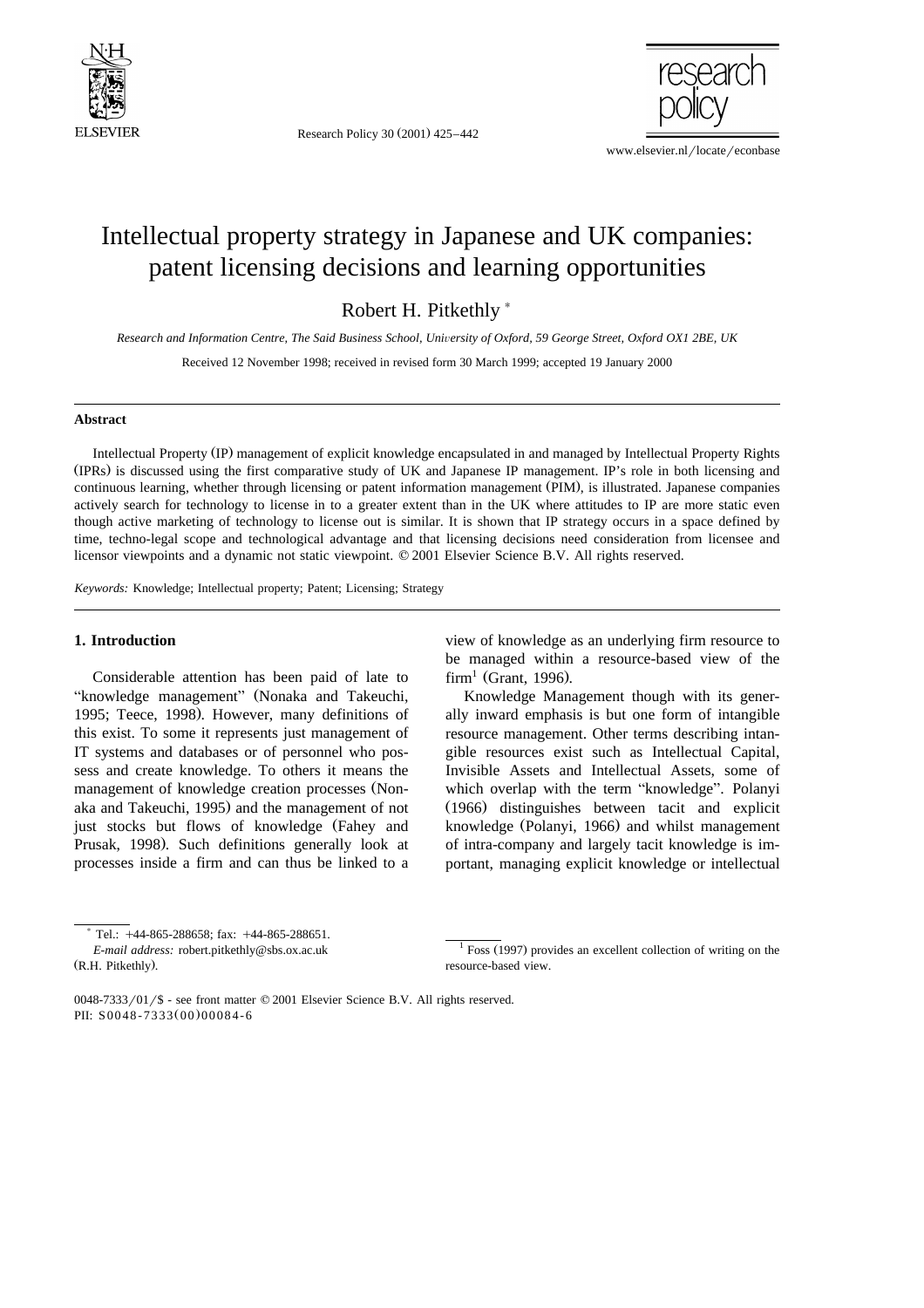

Research Policy 30 (2001) 425-442

www.elsevier.nl/locate/econbase

# Intellectual property strategy in Japanese and UK companies: patent licensing decisions and learning opportunities

Robert H. Pitkethly<sup>\*</sup>

*Research and Information Centre, The Said Business School, Uni*Õ*ersity of Oxford, 59 George Street, Oxford OX1 2BE, UK*

Received 12 November 1998; received in revised form 30 March 1999; accepted 19 January 2000

### **Abstract**

Intellectual Property (IP) management of explicit knowledge encapsulated in and managed by Intellectual Property Rights Ž . IPRs is discussed using the first comparative study of UK and Japanese IP management. IP's role in both licensing and continuous learning, whether through licensing or patent information management (PIM), is illustrated. Japanese companies actively search for technology to license in to a greater extent than in the UK where attitudes to IP are more static even though active marketing of technology to license out is similar. It is shown that IP strategy occurs in a space defined by time, techno-legal scope and technological advantage and that licensing decisions need consideration from licensee and licensor viewpoints and a dynamic not static viewpoint.  $\heartsuit$  2001 Elsevier Science B.V. All rights reserved.

*Keywords:* Knowledge; Intellectual property; Patent; Licensing; Strategy

### **1. Introduction**

Considerable attention has been paid of late to "knowledge management" (Nonaka and Takeuchi, 1995; Teece, 1998). However, many definitions of this exist. To some it represents just management of IT systems and databases or of personnel who possess and create knowledge. To others it means the management of knowledge creation processes (Nonaka and Takeuchi, 1995) and the management of not just stocks but flows of knowledge (Fahey and Prusak, 1998). Such definitions generally look at processes inside a firm and can thus be linked to a

 $*$  Tel.:  $+44-865-288658$ ; fax:  $+44-865-288651$ .

Knowledge Management though with its generally inward emphasis is but one form of intangible resource management. Other terms describing intangible resources exist such as Intellectual Capital, Invisible Assets and Intellectual Assets, some of which overlap with the term "knowledge". Polanyi (1966) distinguishes between tacit and explicit knowledge (Polanyi, 1966) and whilst management of intra-company and largely tacit knowledge is important, managing explicit knowledge or intellectual

 $0.048-7333/01/$ \$ - see front matter  $\odot$  2001 Elsevier Science B.V. All rights reserved. PII: S0048-7333(00)00084-6

*E-mail address:* robert.pitkethly@sbs.ox.ac.uk (R.H. Pitkethly).

view of knowledge as an underlying firm resource to be managed within a resource-based view of the  $firm<sup>1</sup>$  (Grant, 1996).

 $1$  Foss (1997) provides an excellent collection of writing on the resource-based view.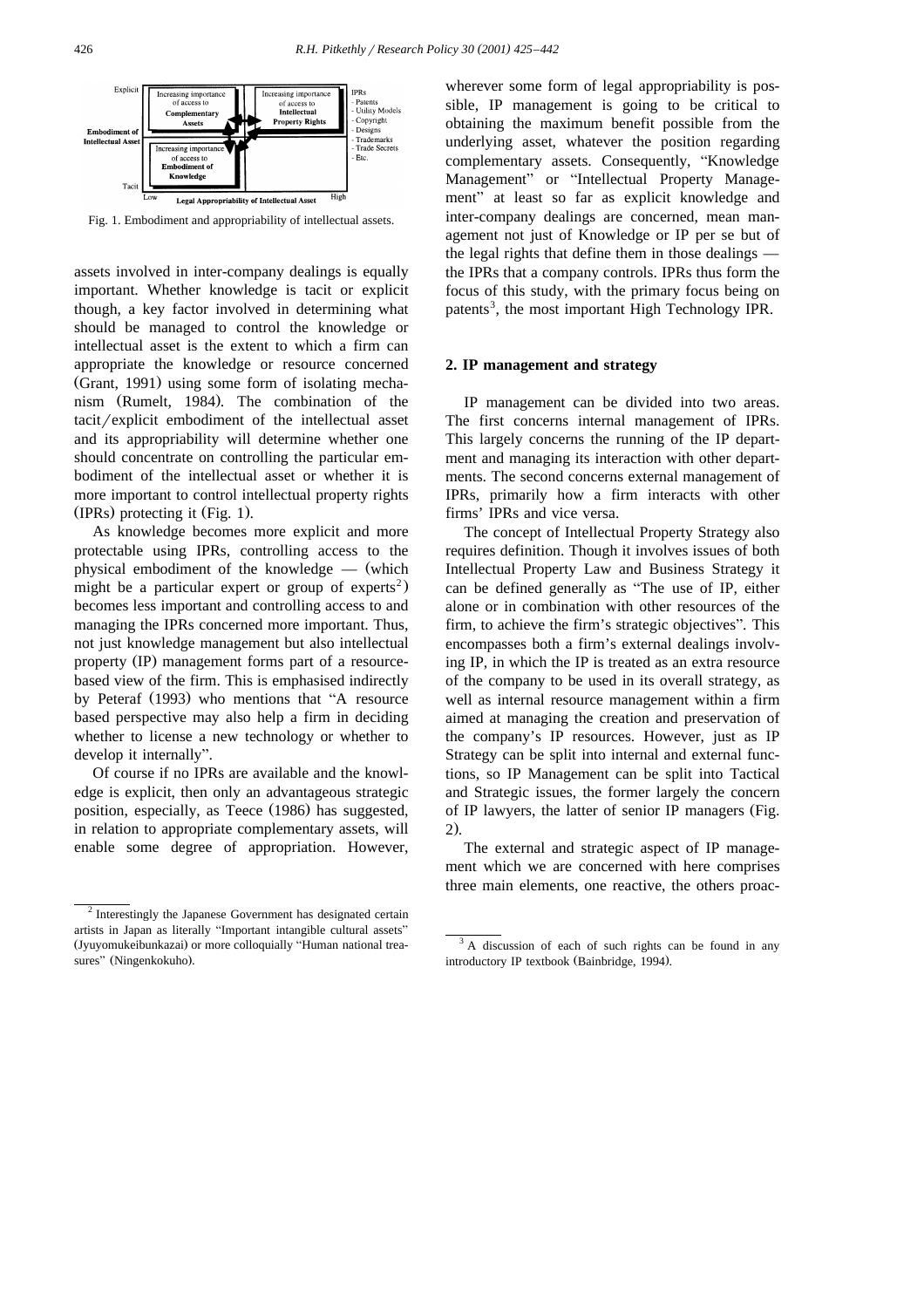

Fig. 1. Embodiment and appropriability of intellectual assets.

assets involved in inter-company dealings is equally important. Whether knowledge is tacit or explicit though, a key factor involved in determining what should be managed to control the knowledge or intellectual asset is the extent to which a firm can appropriate the knowledge or resource concerned (Grant, 1991) using some form of isolating mechanism (Rumelt, 1984). The combination of the tacit/explicit embodiment of the intellectual asset and its appropriability will determine whether one should concentrate on controlling the particular embodiment of the intellectual asset or whether it is more important to control intellectual property rights  $(IPRs)$  protecting it  $(Fig. 1)$ .

As knowledge becomes more explicit and more protectable using IPRs, controlling access to the physical embodiment of the knowledge  $-$  (which might be a particular expert or group of experts<sup>2</sup>) becomes less important and controlling access to and managing the IPRs concerned more important. Thus, not just knowledge management but also intellectual property (IP) management forms part of a resourcebased view of the firm. This is emphasised indirectly by Peteraf (1993) who mentions that "A resource based perspective may also help a firm in deciding whether to license a new technology or whether to develop it internally".

Of course if no IPRs are available and the knowledge is explicit, then only an advantageous strategic position, especially, as Teece (1986) has suggested, in relation to appropriate complementary assets, will enable some degree of appropriation. However,

wherever some form of legal appropriability is possible, IP management is going to be critical to obtaining the maximum benefit possible from the underlying asset, whatever the position regarding complementary assets. Consequently, "Knowledge Management" or "Intellectual Property Management" at least so far as explicit knowledge and inter-company dealings are concerned, mean management not just of Knowledge or IP per se but of the legal rights that define them in those dealings the IPRs that a company controls. IPRs thus form the focus of this study, with the primary focus being on patents<sup>3</sup>, the most important High Technology IPR.

#### **2. IP management and strategy**

IP management can be divided into two areas. The first concerns internal management of IPRs. This largely concerns the running of the IP department and managing its interaction with other departments. The second concerns external management of IPRs, primarily how a firm interacts with other firms' IPRs and vice versa.

The concept of Intellectual Property Strategy also requires definition. Though it involves issues of both Intellectual Property Law and Business Strategy it can be defined generally as "The use of IP, either alone or in combination with other resources of the firm, to achieve the firm's strategic objectives". This encompasses both a firm's external dealings involving IP, in which the IP is treated as an extra resource of the company to be used in its overall strategy, as well as internal resource management within a firm aimed at managing the creation and preservation of the company's IP resources. However, just as IP Strategy can be split into internal and external functions, so IP Management can be split into Tactical and Strategic issues, the former largely the concern of IP lawyers, the latter of senior IP managers (Fig.  $2$ .

The external and strategic aspect of IP management which we are concerned with here comprises three main elements, one reactive, the others proac-

<sup>&</sup>lt;sup>2</sup> Interestingly the Japanese Government has designated certain artists in Japan as literally "Important intangible cultural assets" (Jyuyomukeibunkazai) or more colloquially "Human national treasures" (Ningenkokuho).

 $3<sup>3</sup>$  A discussion of each of such rights can be found in any introductory IP textbook (Bainbridge, 1994).